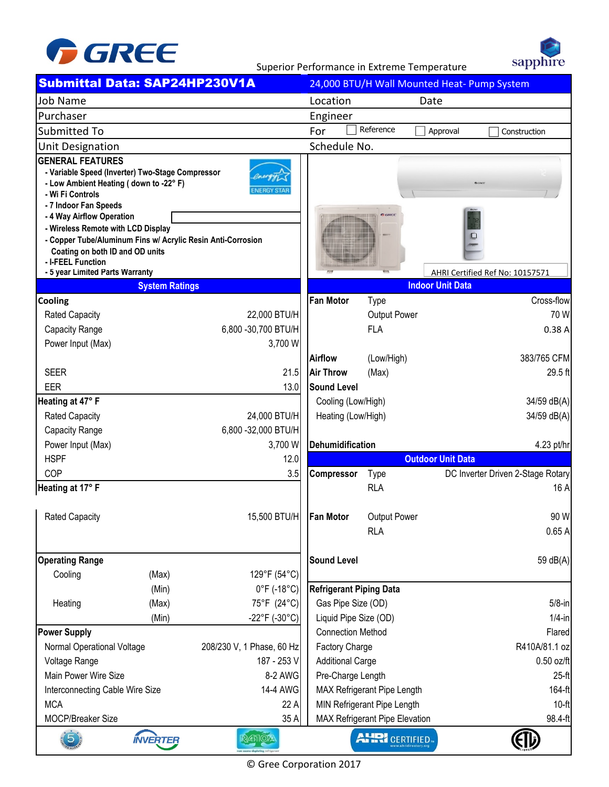

sapphire

Superior Performance in Extreme Temperature

| Submittal Data: SAP24HP230V1A                                                                                                                                                                                                                                                                                                                                                                   |                       | 24,000 BTU/H Wall Mounted Heat- Pump System                             |                                              |                            |                                   |  |
|-------------------------------------------------------------------------------------------------------------------------------------------------------------------------------------------------------------------------------------------------------------------------------------------------------------------------------------------------------------------------------------------------|-----------------------|-------------------------------------------------------------------------|----------------------------------------------|----------------------------|-----------------------------------|--|
| <b>Job Name</b>                                                                                                                                                                                                                                                                                                                                                                                 |                       |                                                                         | Location<br>Date                             |                            |                                   |  |
| Purchaser                                                                                                                                                                                                                                                                                                                                                                                       |                       |                                                                         | Engineer                                     |                            |                                   |  |
| Submitted To                                                                                                                                                                                                                                                                                                                                                                                    |                       |                                                                         | Reference<br>For<br>Approval<br>Construction |                            |                                   |  |
| <b>Unit Designation</b>                                                                                                                                                                                                                                                                                                                                                                         |                       |                                                                         | Schedule No.                                 |                            |                                   |  |
| <b>GENERAL FEATURES</b><br>- Variable Speed (Inverter) Two-Stage Compressor<br>- Low Ambient Heating (down to -22° F)<br>- Wi Fi Controls<br>- 7 Indoor Fan Speeds<br>- 4 Way Airflow Operation<br>- Wireless Remote with LCD Display<br>- Copper Tube/Aluminum Fins w/ Acrylic Resin Anti-Corrosion<br>Coating on both ID and OD units<br>- I-FEEL Function<br>- 5 year Limited Parts Warranty |                       | 0 cm<br>O<br>AHRI Certified Ref No: 10157571<br><b>Indoor Unit Data</b> |                                              |                            |                                   |  |
|                                                                                                                                                                                                                                                                                                                                                                                                 | <b>System Ratings</b> |                                                                         | <b>Fan Motor</b>                             |                            | Cross-flow                        |  |
| Cooling                                                                                                                                                                                                                                                                                                                                                                                         |                       |                                                                         |                                              | <b>Type</b>                | 70 W                              |  |
| <b>Rated Capacity</b><br>Capacity Range                                                                                                                                                                                                                                                                                                                                                         |                       | 22,000 BTU/H<br>6,800 - 30,700 BTU/H                                    |                                              | Output Power<br><b>FLA</b> | 0.38A                             |  |
| Power Input (Max)                                                                                                                                                                                                                                                                                                                                                                               |                       | 3,700 W                                                                 |                                              |                            |                                   |  |
|                                                                                                                                                                                                                                                                                                                                                                                                 |                       |                                                                         | <b>Airflow</b>                               | (Low/High)                 | 383/765 CFM                       |  |
| <b>SEER</b>                                                                                                                                                                                                                                                                                                                                                                                     |                       | 21.5                                                                    | <b>Air Throw</b>                             | (Max)                      | 29.5 ft                           |  |
| <b>EER</b>                                                                                                                                                                                                                                                                                                                                                                                      |                       | 13.0                                                                    | <b>Sound Level</b>                           |                            |                                   |  |
| Heating at 47° F                                                                                                                                                                                                                                                                                                                                                                                |                       |                                                                         | Cooling (Low/High)                           |                            | 34/59 dB(A)                       |  |
| <b>Rated Capacity</b>                                                                                                                                                                                                                                                                                                                                                                           |                       | 24,000 BTU/H                                                            | Heating (Low/High)                           |                            | 34/59 dB(A)                       |  |
| Capacity Range                                                                                                                                                                                                                                                                                                                                                                                  |                       | 6,800 - 32,000 BTU/H                                                    |                                              |                            |                                   |  |
| Power Input (Max)                                                                                                                                                                                                                                                                                                                                                                               |                       | 3,700 W                                                                 | Dehumidification                             |                            | 4.23 pt/hr                        |  |
| <b>HSPF</b>                                                                                                                                                                                                                                                                                                                                                                                     |                       | 12.0                                                                    | <b>Outdoor Unit Data</b>                     |                            |                                   |  |
| COP                                                                                                                                                                                                                                                                                                                                                                                             |                       | 3.5                                                                     | Compressor                                   | <b>Type</b>                | DC Inverter Driven 2-Stage Rotary |  |
| Heating at 17° F                                                                                                                                                                                                                                                                                                                                                                                |                       |                                                                         |                                              | <b>RLA</b>                 | 16 A                              |  |
| <b>Rated Capacity</b>                                                                                                                                                                                                                                                                                                                                                                           |                       | 15,500 BTU/H   Fan Motor                                                |                                              | Output Power               | 90 W                              |  |
|                                                                                                                                                                                                                                                                                                                                                                                                 |                       |                                                                         |                                              | <b>RLA</b>                 | 0.65A                             |  |
| <b>Operating Range</b>                                                                                                                                                                                                                                                                                                                                                                          |                       |                                                                         | <b>Sound Level</b>                           |                            | 59 dB(A)                          |  |
| Cooling                                                                                                                                                                                                                                                                                                                                                                                         | (Max)                 | 129°F (54°C)                                                            |                                              |                            |                                   |  |
|                                                                                                                                                                                                                                                                                                                                                                                                 | (Min)                 | 0°F (-18°C)                                                             | <b>Refrigerant Piping Data</b>               |                            |                                   |  |
| Heating                                                                                                                                                                                                                                                                                                                                                                                         | (Max)                 | 75°F (24°C)                                                             | Gas Pipe Size (OD)                           |                            | $5/8$ -in                         |  |
| (Min)<br>$-22^{\circ}F(-30^{\circ}C)$                                                                                                                                                                                                                                                                                                                                                           |                       | Liquid Pipe Size (OD)                                                   |                                              | $1/4$ -in                  |                                   |  |
| <b>Power Supply</b>                                                                                                                                                                                                                                                                                                                                                                             |                       |                                                                         | <b>Connection Method</b>                     |                            | Flared                            |  |
| Normal Operational Voltage<br>208/230 V, 1 Phase, 60 Hz                                                                                                                                                                                                                                                                                                                                         |                       | Factory Charge                                                          |                                              | R410A/81.1 oz              |                                   |  |
| 187 - 253 V<br>Voltage Range                                                                                                                                                                                                                                                                                                                                                                    |                       | <b>Additional Carge</b>                                                 |                                              | $0.50$ oz/ft               |                                   |  |
| Main Power Wire Size<br>8-2 AWG                                                                                                                                                                                                                                                                                                                                                                 |                       |                                                                         | Pre-Charge Length                            |                            | $25-f1$                           |  |
| 14-4 AWG<br>Interconnecting Cable Wire Size                                                                                                                                                                                                                                                                                                                                                     |                       |                                                                         | MAX Refrigerant Pipe Length<br>164-ft        |                            |                                   |  |
| <b>MCA</b>                                                                                                                                                                                                                                                                                                                                                                                      |                       | 22 A                                                                    | MIN Refrigerant Pipe Length                  |                            | $10-ft$                           |  |
| MOCP/Breaker Size<br>35 A                                                                                                                                                                                                                                                                                                                                                                       |                       |                                                                         | MAX Refrigerant Pipe Elevation               | 98.4-ft                    |                                   |  |
| $\overline{5}$                                                                                                                                                                                                                                                                                                                                                                                  | <b>INVERTER</b>       | <b>RATIOA</b>                                                           |                                              | <b>AHRI</b> CERTIFIED      |                                   |  |

© Gree Corporation 2017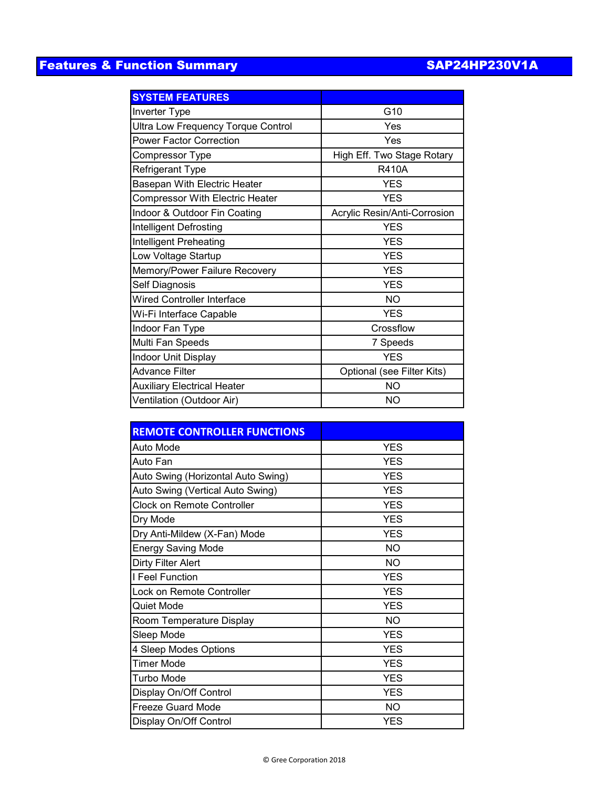## Features & Function Summary SAP24HP230V1A

| <b>SYSTEM FEATURES</b>                    |                              |  |  |
|-------------------------------------------|------------------------------|--|--|
| Inverter Type                             | G10                          |  |  |
| <b>Ultra Low Frequency Torque Control</b> | Yes                          |  |  |
| <b>Power Factor Correction</b>            | Yes                          |  |  |
| Compressor Type                           | High Eff. Two Stage Rotary   |  |  |
| <b>Refrigerant Type</b>                   | <b>R410A</b>                 |  |  |
| Basepan With Electric Heater              | <b>YES</b>                   |  |  |
| <b>Compressor With Electric Heater</b>    | <b>YES</b>                   |  |  |
| Indoor & Outdoor Fin Coating              | Acrylic Resin/Anti-Corrosion |  |  |
| Intelligent Defrosting                    | <b>YES</b>                   |  |  |
| Intelligent Preheating                    | <b>YES</b>                   |  |  |
| Low Voltage Startup                       | <b>YES</b>                   |  |  |
| Memory/Power Failure Recovery             | <b>YES</b>                   |  |  |
| Self Diagnosis                            | <b>YES</b>                   |  |  |
| <b>Wired Controller Interface</b>         | <b>NO</b>                    |  |  |
| Wi-Fi Interface Capable                   | <b>YFS</b>                   |  |  |
| Indoor Fan Type                           | Crossflow                    |  |  |
| Multi Fan Speeds                          | 7 Speeds                     |  |  |
| Indoor Unit Display                       | <b>YES</b>                   |  |  |
| <b>Advance Filter</b>                     | Optional (see Filter Kits)   |  |  |
| <b>Auxiliary Electrical Heater</b>        | <b>NO</b>                    |  |  |
| Ventilation (Outdoor Air)                 | NO                           |  |  |

| <b>REMOTE CONTROLLER FUNCTIONS</b> |            |  |  |  |
|------------------------------------|------------|--|--|--|
| Auto Mode                          | <b>YES</b> |  |  |  |
| Auto Fan                           | <b>YES</b> |  |  |  |
| Auto Swing (Horizontal Auto Swing) | <b>YES</b> |  |  |  |
| Auto Swing (Vertical Auto Swing)   | <b>YES</b> |  |  |  |
| <b>Clock on Remote Controller</b>  | <b>YES</b> |  |  |  |
| Dry Mode                           | <b>YES</b> |  |  |  |
| Dry Anti-Mildew (X-Fan) Mode       | <b>YES</b> |  |  |  |
| <b>Energy Saving Mode</b>          | NO.        |  |  |  |
| <b>Dirty Filter Alert</b>          | <b>NO</b>  |  |  |  |
| I Feel Function                    | <b>YES</b> |  |  |  |
| Lock on Remote Controller          | <b>YES</b> |  |  |  |
| <b>Quiet Mode</b>                  | <b>YES</b> |  |  |  |
| Room Temperature Display           | <b>NO</b>  |  |  |  |
| Sleep Mode                         | <b>YES</b> |  |  |  |
| 4 Sleep Modes Options              | <b>YES</b> |  |  |  |
| <b>Timer Mode</b>                  | <b>YES</b> |  |  |  |
| Turbo Mode                         | <b>YES</b> |  |  |  |
| Display On/Off Control             | <b>YES</b> |  |  |  |
| <b>Freeze Guard Mode</b>           | <b>NO</b>  |  |  |  |
| Display On/Off Control             | <b>YES</b> |  |  |  |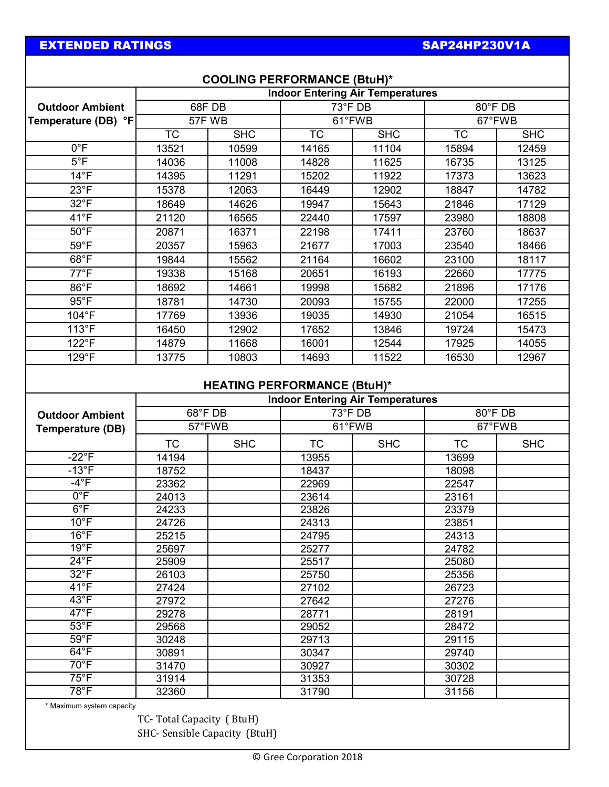## EXTENDED RATINGS

## SAP24HP230V1A

| <b>COOLING PERFORMANCE (BtuH)*</b> |                                                                               |            |                        |                                         |                        |            |  |  |  |
|------------------------------------|-------------------------------------------------------------------------------|------------|------------------------|-----------------------------------------|------------------------|------------|--|--|--|
|                                    |                                                                               |            |                        | <b>Indoor Entering Air Temperatures</b> |                        |            |  |  |  |
| <b>Outdoor Ambient</b>             | 68FDB                                                                         |            | 73°F DB                |                                         | 80°F DB                |            |  |  |  |
| Temperature (DB) °F                | 57F WB                                                                        |            | 61°FWB                 |                                         | 67°FWB                 |            |  |  |  |
|                                    | $\overline{\text{TC}}$                                                        | <b>SHC</b> | $\overline{\text{TC}}$ | <b>SHC</b>                              | $\overline{\text{TC}}$ | <b>SHC</b> |  |  |  |
| $0^{\circ}F$                       | 13521                                                                         | 10599      | 14165                  | 11104                                   | 15894                  | 12459      |  |  |  |
| $5^{\circ}F$                       | 14036                                                                         | 11008      | 14828                  | 11625                                   | 16735                  | 13125      |  |  |  |
| $14^{\circ}F$                      | 14395                                                                         | 11291      | 15202                  | 11922                                   | 17373                  | 13623      |  |  |  |
| $23^{\circ}F$                      | 15378                                                                         | 12063      | 16449                  | 12902                                   | 18847                  | 14782      |  |  |  |
| $32^{\circ}F$                      | 18649                                                                         | 14626      | 19947                  | 15643                                   | 21846                  | 17129      |  |  |  |
| $41^{\circ}F$                      | 21120                                                                         | 16565      | 22440                  | 17597                                   | 23980                  | 18808      |  |  |  |
| $50^{\circ}$ F                     | 20871                                                                         | 16371      | 22198                  | 17411                                   | 23760                  | 18637      |  |  |  |
| $59^{\circ}$ F                     | 20357                                                                         | 15963      | 21677                  | 17003                                   | 23540                  | 18466      |  |  |  |
| $68^{\circ}$ F                     | 19844                                                                         | 15562      | 21164                  | 16602                                   | 23100                  | 18117      |  |  |  |
| $77^{\circ}F$                      | 19338                                                                         | 15168      | 20651                  | 16193                                   | 22660                  | 17775      |  |  |  |
| $86^{\circ}$ F                     | 18692                                                                         | 14661      | 19998                  | 15682                                   | 21896                  | 17176      |  |  |  |
| $95^{\circ}$ F                     | 18781                                                                         | 14730      | 20093                  | 15755                                   | 22000                  | 17255      |  |  |  |
| 104°F                              | 17769                                                                         | 13936      | 19035                  | 14930                                   | 21054                  | 16515      |  |  |  |
| 113°F                              | 16450                                                                         | 12902      | 17652                  | 13846                                   | 19724                  | 15473      |  |  |  |
| 122°F                              | 14879                                                                         | 11668      | 16001                  | 12544                                   | 17925                  | 14055      |  |  |  |
| 129°F                              | 13775                                                                         | 10803      | 14693                  | 11522                                   | 16530                  | 12967      |  |  |  |
|                                    | <b>HEATING PERFORMANCE (BtuH)*</b><br><b>Indoor Entering Air Temperatures</b> |            |                        |                                         |                        |            |  |  |  |
| <b>Outdoor Ambient</b>             | 68°F DB                                                                       |            | 73°F DB                |                                         | 80°F DB                |            |  |  |  |
| <b>Temperature (DB)</b>            | 57°FWB                                                                        |            | 61°FWB                 |                                         | 67°FWB                 |            |  |  |  |
|                                    | <b>TC</b>                                                                     | <b>SHC</b> | <b>TC</b>              | <b>SHC</b>                              | <b>TC</b>              | <b>SHC</b> |  |  |  |
| $-22^{\circ}F$                     | 14194                                                                         |            | 13955                  |                                         | 13699                  |            |  |  |  |
| $-13^{\circ}F$                     | 18752                                                                         |            | 18437                  |                                         | 18098                  |            |  |  |  |
| $-4^{\circ}F$                      | 23362                                                                         |            | 22969                  |                                         | 22547                  |            |  |  |  |
| $0^{\circ}$ F                      | 24013                                                                         |            | 23614                  |                                         | 23161                  |            |  |  |  |
| $6^{\circ}$ F                      | 24233                                                                         |            | 23826                  |                                         | 23379                  |            |  |  |  |
| $10^{\circ}$ F                     | 24726                                                                         |            | 24313                  |                                         | 23851                  |            |  |  |  |
| $16^{\circ}$ F                     | 25215                                                                         |            | 24795                  |                                         | 24313                  |            |  |  |  |
| $19^{\circ}F$                      | 25697                                                                         |            | 25277                  |                                         | 24782                  |            |  |  |  |
| $24^{\circ}F$                      | 25909                                                                         |            | 25517                  |                                         | 25080                  |            |  |  |  |
| $32^{\circ}F$                      | 26103                                                                         |            | 25750                  |                                         | 25356                  |            |  |  |  |
| $41^{\circ}F$                      | 27424                                                                         |            | 27102                  |                                         | 26723                  |            |  |  |  |
| $43^{\circ}F$                      | 27972                                                                         |            | 27642                  |                                         | 27276                  |            |  |  |  |
| $47^{\circ}$ F                     | 29278                                                                         |            | 28771                  |                                         | 28191                  |            |  |  |  |
| $53^{\circ}$ F                     | 29568                                                                         |            | 29052                  |                                         | 28472                  |            |  |  |  |
| $59^{\circ}$ F                     | 30248                                                                         |            | 29713                  |                                         | 29115                  |            |  |  |  |
| $64^{\circ}F$                      | 30891                                                                         |            | 30347                  |                                         | 29740                  |            |  |  |  |
| $70^{\circ}$ F                     | 31470                                                                         |            | 30927                  |                                         | 30302                  |            |  |  |  |
| $75^{\circ}$ F                     | 31914                                                                         |            | 31353                  |                                         | 30728                  |            |  |  |  |
| $78^{\circ}$ F                     | 32360                                                                         |            | 31790                  |                                         | 31156                  |            |  |  |  |

\* Maximum system capacity

TC- Total Capacity ( BtuH) SHC- Sensible Capacity (BtuH)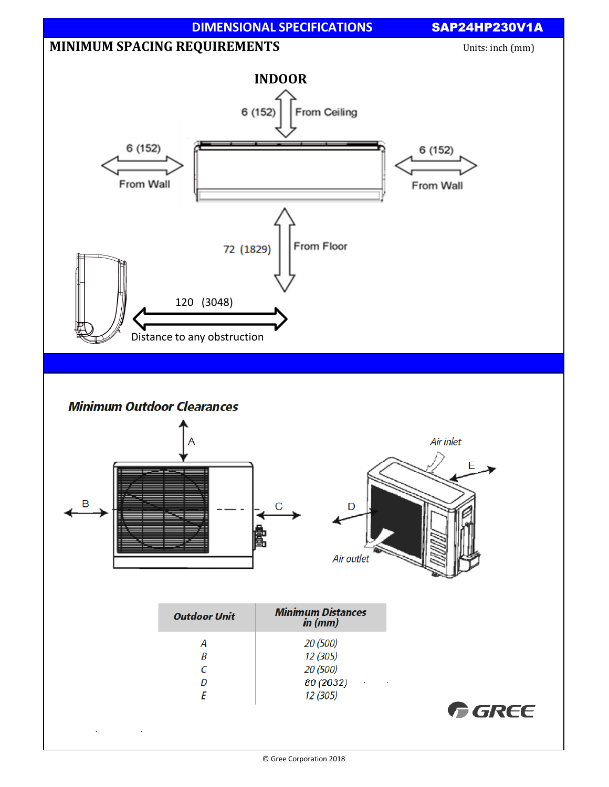

© Gree Corporation 2018